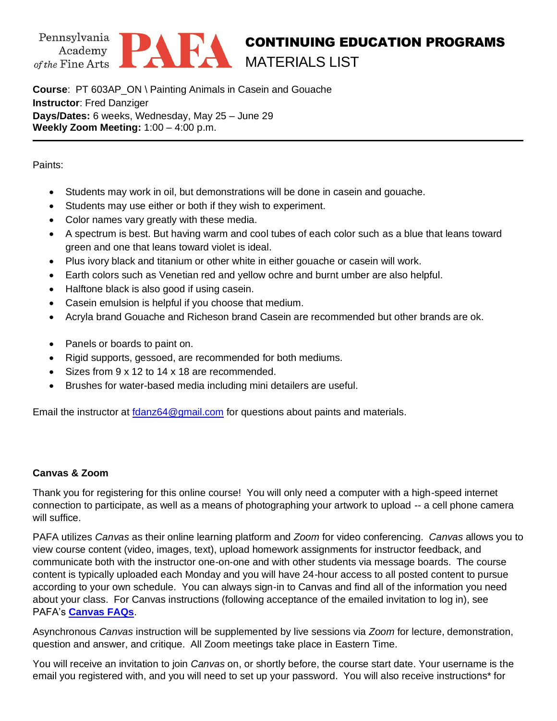



## CONTINUING EDUCATION PROGRAMS MATERIALS LIST

**Course**: PT 603AP\_ON \ Painting Animals in Casein and Gouache **Instructor**: Fred Danziger **Days/Dates:** 6 weeks, Wednesday, May 25 – June 29 **Weekly Zoom Meeting:** 1:00 – 4:00 p.m.

## Paints:

- Students may work in oil, but demonstrations will be done in casein and gouache.
- Students may use either or both if they wish to experiment.
- Color names vary greatly with these media.
- A spectrum is best. But having warm and cool tubes of each color such as a blue that leans toward green and one that leans toward violet is ideal.
- Plus ivory black and titanium or other white in either gouache or casein will work.
- Earth colors such as Venetian red and yellow ochre and burnt umber are also helpful.
- Halftone black is also good if using casein.
- Casein emulsion is helpful if you choose that medium.
- Acryla brand Gouache and Richeson brand Casein are recommended but other brands are ok.
- Panels or boards to paint on.
- Rigid supports, gessoed, are recommended for both mediums.
- Sizes from 9 x 12 to 14 x 18 are recommended.
- Brushes for water-based media including mini detailers are useful.

Email the instructor at [fdanz64@gmail.com](mailto:fdanz64@gmail.com) for questions about paints and materials.

## **Canvas & Zoom**

Thank you for registering for this online course! You will only need a computer with a high-speed internet connection to participate, as well as a means of photographing your artwork to upload -- a cell phone camera will suffice.

PAFA utilizes *Canvas* as their online learning platform and *Zoom* for video conferencing. *Canvas* allows you to view course content (video, images, text), upload homework assignments for instructor feedback, and communicate both with the instructor one-on-one and with other students via message boards. The course content is typically uploaded each Monday and you will have 24-hour access to all posted content to pursue according to your own schedule. You can always sign-in to Canvas and find all of the information you need about your class. For Canvas instructions (following acceptance of the emailed invitation to log in), see PAFA's **[Canvas FAQs](https://www.pafa.org/sites/default/files/2020-11/CanvasStudentFAQs.pdf)**.

Asynchronous *Canvas* instruction will be supplemented by live sessions via *Zoom* for lecture, demonstration, question and answer, and critique. All Zoom meetings take place in Eastern Time.

You will receive an invitation to join *Canvas* on, or shortly before, the course start date. Your username is the email you registered with, and you will need to set up your password. You will also receive instructions\* for